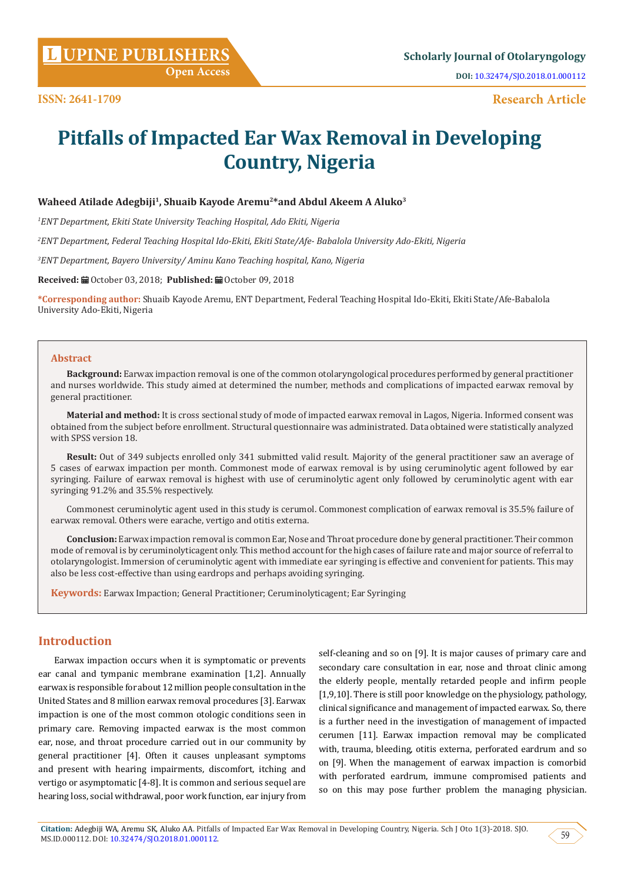**[UPINE PUBLISHERS](http://www.lupinepublishers.com/) L Scholarly Journal of Otolaryngology**

**Research Article**

# **Pitfalls of Impacted Ear Wax Removal in Developing Country, Nigeria**

## **Waheed Atilade Adegbiji1, Shuaib Kayode Aremu2\*and Abdul Akeem A Aluko3**

*1 ENT Department, Ekiti State University Teaching Hospital, Ado Ekiti, Nigeria* 

*2 ENT Department, Federal Teaching Hospital Ido-Ekiti, Ekiti State/Afe- Babalola University Ado-Ekiti, Nigeria*

*3 ENT Department, Bayero University/ Aminu Kano Teaching hospital, Kano, Nigeria*

Received: **■** October 03, 2018; Published: ■ October 09, 2018

**\*Corresponding author:** Shuaib Kayode Aremu, ENT Department, Federal Teaching Hospital Ido-Ekiti, Ekiti State/Afe-Babalola University Ado-Ekiti, Nigeria

#### **Abstract**

**Background:** Earwax impaction removal is one of the common otolaryngological procedures performed by general practitioner and nurses worldwide. This study aimed at determined the number, methods and complications of impacted earwax removal by general practitioner.

**Material and method:** It is cross sectional study of mode of impacted earwax removal in Lagos, Nigeria. Informed consent was obtained from the subject before enrollment. Structural questionnaire was administrated. Data obtained were statistically analyzed with SPSS version 18.

**Result:** Out of 349 subjects enrolled only 341 submitted valid result. Majority of the general practitioner saw an average of 5 cases of earwax impaction per month. Commonest mode of earwax removal is by using ceruminolytic agent followed by ear syringing. Failure of earwax removal is highest with use of ceruminolytic agent only followed by ceruminolytic agent with ear syringing 91.2% and 35.5% respectively.

Commonest ceruminolytic agent used in this study is cerumol. Commonest complication of earwax removal is 35.5% failure of earwax removal. Others were earache, vertigo and otitis externa.

**Conclusion:** Earwax impaction removal is common Ear, Nose and Throat procedure done by general practitioner. Their common mode of removal is by ceruminolyticagent only. This method account for the high cases of failure rate and major source of referral to otolaryngologist. Immersion of ceruminolytic agent with immediate ear syringing is effective and convenient for patients. This may also be less cost-effective than using eardrops and perhaps avoiding syringing.

**Keywords:** Earwax Impaction; General Practitioner; Ceruminolyticagent; Ear Syringing

# **Introduction**

Earwax impaction occurs when it is symptomatic or prevents ear canal and tympanic membrane examination [1,2]. Annually earwax is responsible for about 12 million people consultation in the United States and 8 million earwax removal procedures [3]. Earwax impaction is one of the most common otologic conditions seen in primary care. Removing impacted earwax is the most common ear, nose, and throat procedure carried out in our community by general practitioner [4]. Often it causes unpleasant symptoms and present with hearing impairments, discomfort, itching and vertigo or asymptomatic [4-8]. It is common and serious sequel are hearing loss, social withdrawal, poor work function, ear injury from

self-cleaning and so on [9]. It is major causes of primary care and secondary care consultation in ear, nose and throat clinic among the elderly people, mentally retarded people and infirm people [1,9,10]. There is still poor knowledge on the physiology, pathology, clinical significance and management of impacted earwax. So, there is a further need in the investigation of management of impacted cerumen [11]. Earwax impaction removal may be complicated with, trauma, bleeding, otitis externa, perforated eardrum and so on [9]. When the management of earwax impaction is comorbid with perforated eardrum, immune compromised patients and so on this may pose further problem the managing physician.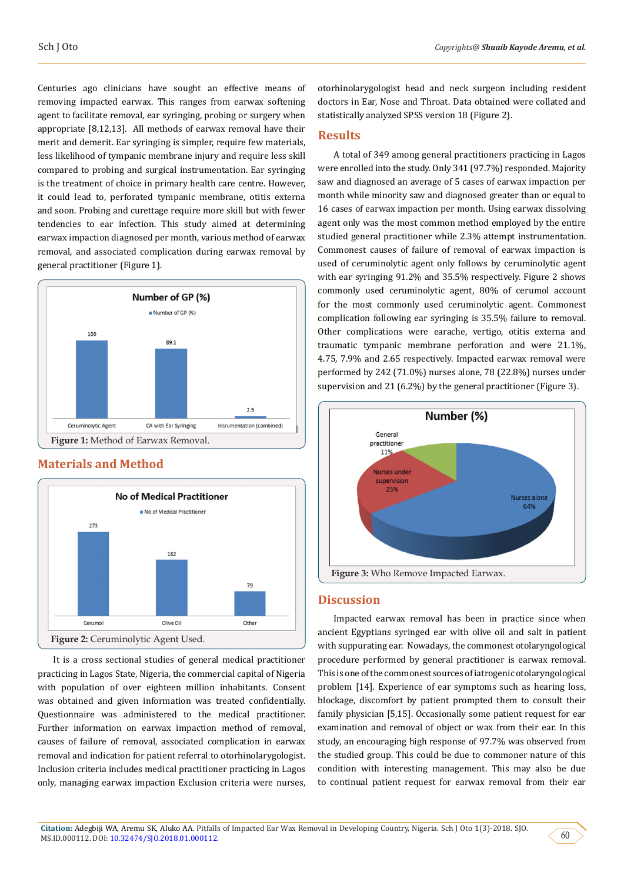Centuries ago clinicians have sought an effective means of removing impacted earwax. This ranges from earwax softening agent to facilitate removal, ear syringing, probing or surgery when appropriate [8,12,13]. All methods of earwax removal have their merit and demerit. Ear syringing is simpler, require few materials, less likelihood of tympanic membrane injury and require less skill compared to probing and surgical instrumentation. Ear syringing is the treatment of choice in primary health care centre. However, it could lead to, perforated tympanic membrane, otitis externa and soon. Probing and curettage require more skill but with fewer tendencies to ear infection. This study aimed at determining earwax impaction diagnosed per month, various method of earwax removal, and associated complication during earwax removal by general practitioner (Figure 1).



## **Materials and Method**



It is a cross sectional studies of general medical practitioner practicing in Lagos State, Nigeria, the commercial capital of Nigeria with population of over eighteen million inhabitants. Consent was obtained and given information was treated confidentially. Questionnaire was administered to the medical practitioner. Further information on earwax impaction method of removal, causes of failure of removal, associated complication in earwax removal and indication for patient referral to otorhinolarygologist. Inclusion criteria includes medical practitioner practicing in Lagos only, managing earwax impaction Exclusion criteria were nurses,

otorhinolarygologist head and neck surgeon including resident doctors in Ear, Nose and Throat. Data obtained were collated and statistically analyzed SPSS version 18 (Figure 2).

# **Results**

A total of 349 among general practitioners practicing in Lagos were enrolled into the study. Only 341 (97.7%) responded. Majority saw and diagnosed an average of 5 cases of earwax impaction per month while minority saw and diagnosed greater than or equal to 16 cases of earwax impaction per month. Using earwax dissolving agent only was the most common method employed by the entire studied general practitioner while 2.3% attempt instrumentation. Commonest causes of failure of removal of earwax impaction is used of ceruminolytic agent only follows by ceruminolytic agent with ear syringing 91.2% and 35.5% respectively. Figure 2 shows commonly used ceruminolytic agent, 80% of cerumol account for the most commonly used ceruminolytic agent. Commonest complication following ear syringing is 35.5% failure to removal. Other complications were earache, vertigo, otitis externa and traumatic tympanic membrane perforation and were 21.1%, 4.75, 7.9% and 2.65 respectively. Impacted earwax removal were performed by 242 (71.0%) nurses alone, 78 (22.8%) nurses under supervision and 21 (6.2%) by the general practitioner (Figure 3).



#### **Discussion**

Impacted earwax removal has been in practice since when ancient Egyptians syringed ear with olive oil and salt in patient with suppurating ear. Nowadays, the commonest otolaryngological procedure performed by general practitioner is earwax removal. This is one of the commonest sources of iatrogenic otolaryngological problem [14]. Experience of ear symptoms such as hearing loss, blockage, discomfort by patient prompted them to consult their family physician [5,15]. Occasionally some patient request for ear examination and removal of object or wax from their ear. In this study, an encouraging high response of 97.7% was observed from the studied group. This could be due to commoner nature of this condition with interesting management. This may also be due to continual patient request for earwax removal from their ear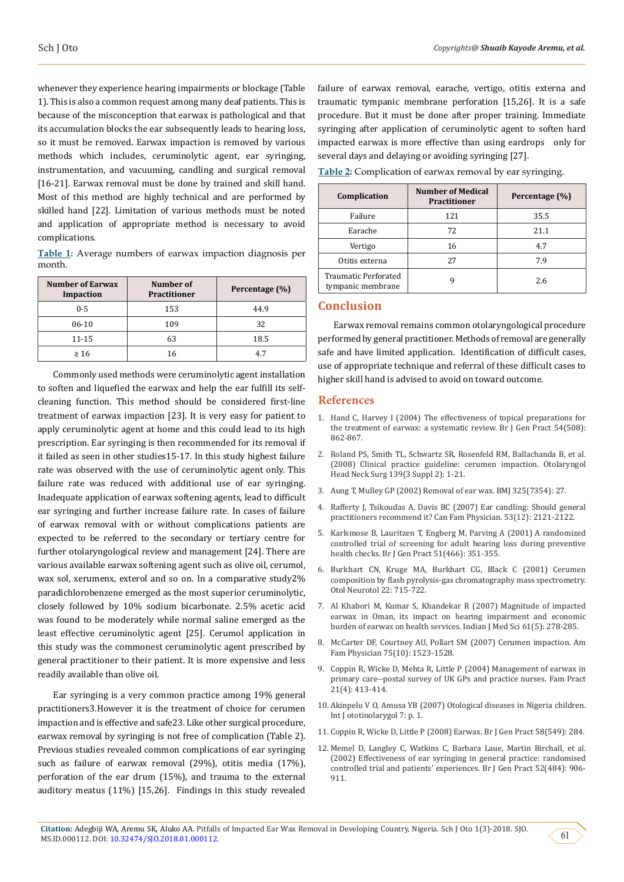whenever they experience hearing impairments or blockage (Table 1). This is also a common request among many deaf patients. This is because of the misconception that earwax is pathological and that its accumulation blocks the ear subsequently leads to hearing loss, so it must be removed. Earwax impaction is removed by various methods which includes, ceruminolytic agent, ear syringing, instrumentation, and vacuuming, candling and surgical removal [16-21]. Earwax removal must be done by trained and skill hand. Most of this method are highly technical and are performed by skilled hand [22]. Limitation of various methods must be noted and application of appropriate method is necessary to avoid complications.

**Table 1:** Average numbers of earwax impaction diagnosis per month.

| <b>Number of Earwax</b><br>Impaction | Number of<br><b>Practitioner</b> | Percentage (%) |
|--------------------------------------|----------------------------------|----------------|
| $0 - 5$                              | 153                              | 44.9           |
| 06-10                                | 109                              | 32             |
| 11-15                                | 63                               | 18.5           |
| $\geq 16$                            | 16                               | 4.7            |

Commonly used methods were ceruminolytic agent installation to soften and liquefied the earwax and help the ear fulfill its selfcleaning function. This method should be considered first-line treatment of earwax impaction [23]. It is very easy for patient to apply ceruminolytic agent at home and this could lead to its high prescription. Ear syringing is then recommended for its removal if it failed as seen in other studies15-17. In this study highest failure rate was observed with the use of ceruminolytic agent only. This failure rate was reduced with additional use of ear syringing. Inadequate application of earwax softening agents, lead to difficult ear syringing and further increase failure rate. In cases of failure of earwax removal with or without complications patients are expected to be referred to the secondary or tertiary centre for further otolaryngological review and management [24]. There are various available earwax softening agent such as olive oil, cerumol, wax sol, xerumenx, exterol and so on. In a comparative study2% paradichlorobenzene emerged as the most superior ceruminolytic, closely followed by 10% sodium bicarbonate. 2.5% acetic acid was found to be moderately while normal saline emerged as the least effective ceruminolytic agent [25]. Cerumol application in this study was the commonest ceruminolytic agent prescribed by general practitioner to their patient. It is more expensive and less readily available than olive oil.

Ear syringing is a very common practice among 19% general practitioners3.However it is the treatment of choice for cerumen impaction and is effective and safe23. Like other surgical procedure, earwax removal by syringing is not free of complication (Table 2). Previous studies revealed common complications of ear syringing such as failure of earwax removal (29%), otitis media (17%), perforation of the ear drum (15%), and trauma to the external auditory meatus (11%) [15,26]. Findings in this study revealed

failure of earwax removal, earache, vertigo, otitis externa and traumatic tympanic membrane perforation [15,26]. It is a safe procedure. But it must be done after proper training. Immediate syringing after application of ceruminolytic agent to soften hard impacted earwax is more effective than using eardrops only for several days and delaying or avoiding syringing [27].

**Table 2:** Complication of earwax removal by ear syringing.

| Complication                              | <b>Number of Medical</b><br><b>Practitioner</b> | Percentage (%) |
|-------------------------------------------|-------------------------------------------------|----------------|
| Failure                                   | 121                                             | 35.5           |
| Earache                                   | 72                                              | 21.1           |
| Vertigo                                   | 16                                              | 4.7            |
| Otitis externa                            | 27                                              | 7.9            |
| Traumatic Perforated<br>tympanic membrane |                                                 | 2.6            |

## **Conclusion**

Earwax removal remains common otolaryngological procedure performed by general practitioner. Methods of removal are generally safe and have limited application. Identification of difficult cases, use of appropriate technique and referral of these difficult cases to higher skill hand is advised to avoid on toward outcome.

#### **References**

- 1. [Hand C, Harvey I \(2004\) The effectiveness of topical preparations for](https://www.ncbi.nlm.nih.gov/pubmed/15527615) [the treatment of earwax: a systematic review. Br J Gen Pract 54\(508\):](https://www.ncbi.nlm.nih.gov/pubmed/15527615) [862-867.](https://www.ncbi.nlm.nih.gov/pubmed/15527615)
- 2. [Roland PS, Smith TL, Schwartz SR, Rosenfeld RM, Ballachanda B, et al.](https://www.ncbi.nlm.nih.gov/pubmed/18707628) [\(2008\) Clinical practice guideline: cerumen impaction. Otolaryngol](https://www.ncbi.nlm.nih.gov/pubmed/18707628) [Head Neck Surg 139\(3 Suppl 2\): 1-21.](https://www.ncbi.nlm.nih.gov/pubmed/18707628)
- 3. Aung T, Mulley GP (2002) Removal of ear wax. BMJ 325(7354): 27.
- 4. [Rafferty J, Tsikoudas A, Davis BC \(2007\) Ear candling: Should general](https://www.ncbi.nlm.nih.gov/pubmed/18077749) [practitioners recommend it? Can Fam Physician. 53\(12\): 2121-2122.](https://www.ncbi.nlm.nih.gov/pubmed/18077749)
- 5. [Karlsmose B, Lauritzen T, Engberg M, Parving A \(2001\) A randomized](https://www.ncbi.nlm.nih.gov/pubmed/11360697) [controlled trial of screening for adult hearing loss during preventive](https://www.ncbi.nlm.nih.gov/pubmed/11360697) [health checks. Br J Gen Pract 51\(466\): 351-355.](https://www.ncbi.nlm.nih.gov/pubmed/11360697)
- 6. [Burkhart CN, Kruge MA, Burkhart CG, Black C \(2001\) Cerumen](https://www.ncbi.nlm.nih.gov/pubmed/11698786) [composition by flash pyrolysis-gas chromatography mass spectrometry.](https://www.ncbi.nlm.nih.gov/pubmed/11698786) [Otol Neurotol 22: 715-722.](https://www.ncbi.nlm.nih.gov/pubmed/11698786)
- 7. [Al Khabori M, Kumar S, Khandekar R \(2007\) Magnitude of impacted](https://www.ncbi.nlm.nih.gov/pubmed/17478958) [earwax in Oman, its impact on hearing impairment and economic](https://www.ncbi.nlm.nih.gov/pubmed/17478958) [burden of earwax on health services. Indian J Med Sci 61\(5\): 278-285.](https://www.ncbi.nlm.nih.gov/pubmed/17478958)
- 8. [McCarter DF, Courtney AU, Pollart SM \(2007\) Cerumen impaction. Am](https://www.aafp.org/afp/2007/0515/p1523.html) [Fam Physician 75\(10\): 1523-1528.](https://www.aafp.org/afp/2007/0515/p1523.html)
- 9. [Coppin R, Wicke D, Mehta R, Little P \(2004\) Management of earwax in](https://academic.oup.com/fampra/article/21/4/413/518023) [primary care--postal survey of UK GPs and practice nurses. Fam Pract](https://academic.oup.com/fampra/article/21/4/413/518023) [21\(4\): 413-414.](https://academic.oup.com/fampra/article/21/4/413/518023)
- 10. [Akinpelu V O, Amusa YB \(2007\) Otological diseases in Nigeria children.](https://print.ispub.com/api/0/ispub-article/4701) [Int J ototinolarygol 7: p. 1.](https://print.ispub.com/api/0/ispub-article/4701)
- 11. [Coppin R, Wicke D, Little P \(2008\) Earwax. Br J Gen Pract 58\(549\): 284.](https://bjgp.org/content/58/549/284.1)
- 12. [Memel D, Langley C, Watkins C, Barbara Laue, Martin Birchall, et al.](https://www.ncbi.nlm.nih.gov/pmc/articles/PMC1314442/) [\(2002\) Effectiveness of ear syringing in general practice: randomised](https://www.ncbi.nlm.nih.gov/pmc/articles/PMC1314442/) [controlled trial and patients' experiences. Br J Gen Pract 52\(484\): 906-](https://www.ncbi.nlm.nih.gov/pmc/articles/PMC1314442/) [911.](https://www.ncbi.nlm.nih.gov/pmc/articles/PMC1314442/)